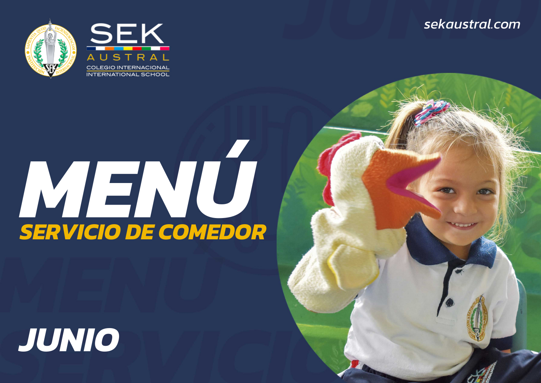*JUNIOsekaustral.com*



## *MENÚ SERVICIO DE COMEDOR*

## *JUNIO*